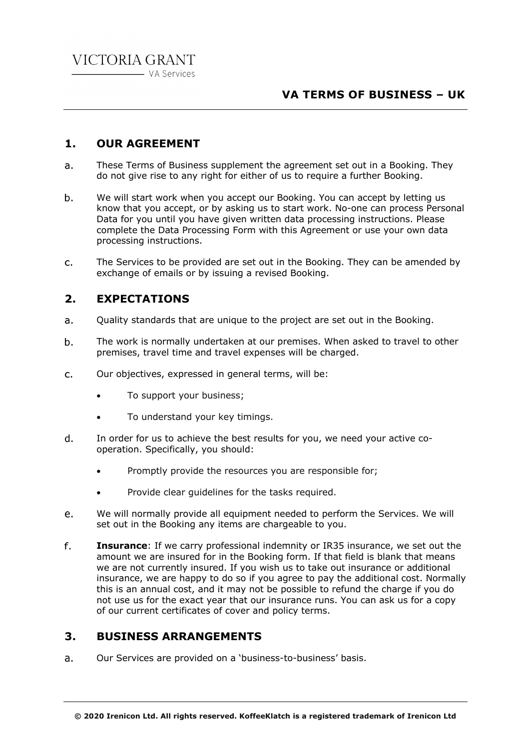# **VA TERMS OF BUSINESS – UK**

## **1. OUR AGREEMENT**

- These Terms of Business supplement the agreement set out in a Booking. They  $a<sub>z</sub>$ do not give rise to any right for either of us to require a further Booking.
- We will start work when you accept our Booking. You can accept by letting us  $b<sub>1</sub>$ know that you accept, or by asking us to start work. No-one can process Personal Data for you until you have given written data processing instructions. Please complete the Data Processing Form with this Agreement or use your own data processing instructions.
- $C<sub>1</sub>$ The Services to be provided are set out in the Booking. They can be amended by exchange of emails or by issuing a revised Booking.

# **2. EXPECTATIONS**

- Quality standards that are unique to the project are set out in the Booking.  $\overline{a}$ .
- The work is normally undertaken at our premises. When asked to travel to other  $b<sub>1</sub>$ premises, travel time and travel expenses will be charged.
- $C<sub>1</sub>$ Our objectives, expressed in general terms, will be:
	- To support your business;
	- To understand your key timings.
- In order for us to achieve the best results for you, we need your active cod. operation. Specifically, you should:
	- Promptly provide the resources you are responsible for;
	- Provide clear guidelines for the tasks required.
- We will normally provide all equipment needed to perform the Services. We will e. set out in the Booking any items are chargeable to you.
- f. **Insurance**: If we carry professional indemnity or IR35 insurance, we set out the amount we are insured for in the Booking form. If that field is blank that means we are not currently insured. If you wish us to take out insurance or additional insurance, we are happy to do so if you agree to pay the additional cost. Normally this is an annual cost, and it may not be possible to refund the charge if you do not use us for the exact year that our insurance runs. You can ask us for a copy of our current certificates of cover and policy terms.

## **3. BUSINESS ARRANGEMENTS**

 $a<sub>z</sub>$ Our Services are provided on a 'business-to-business' basis.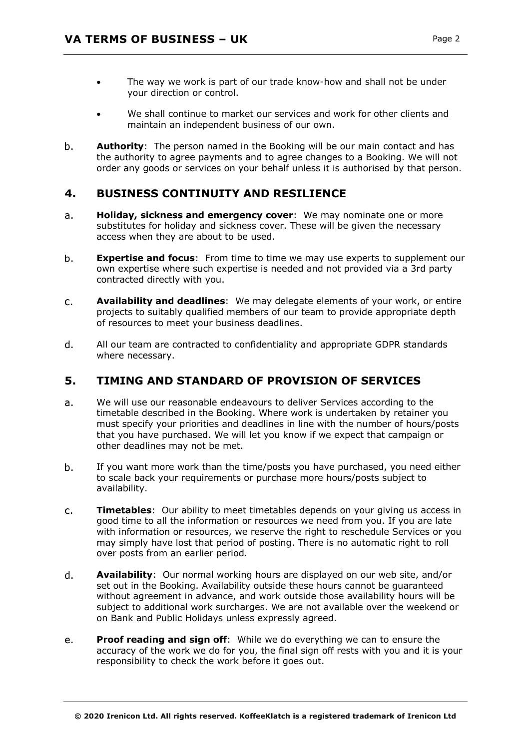- The way we work is part of our trade know-how and shall not be under your direction or control.
- We shall continue to market our services and work for other clients and maintain an independent business of our own.
- b. **Authority**: The person named in the Booking will be our main contact and has the authority to agree payments and to agree changes to a Booking. We will not order any goods or services on your behalf unless it is authorised by that person.

# **4. BUSINESS CONTINUITY AND RESILIENCE**

- **Holiday, sickness and emergency cover**: We may nominate one or more  $a<sub>r</sub>$ substitutes for holiday and sickness cover. These will be given the necessary access when they are about to be used.
- $b.$ **Expertise and focus**: From time to time we may use experts to supplement our own expertise where such expertise is needed and not provided via a 3rd party contracted directly with you.
- **Availability and deadlines**: We may delegate elements of your work, or entire  $C<sub>1</sub>$ projects to suitably qualified members of our team to provide appropriate depth of resources to meet your business deadlines.
- d. All our team are contracted to confidentiality and appropriate GDPR standards where necessary.

# **5. TIMING AND STANDARD OF PROVISION OF SERVICES**

- $a<sub>r</sub>$ We will use our reasonable endeavours to deliver Services according to the timetable described in the Booking. Where work is undertaken by retainer you must specify your priorities and deadlines in line with the number of hours/posts that you have purchased. We will let you know if we expect that campaign or other deadlines may not be met.
- $b<sub>1</sub>$ If you want more work than the time/posts you have purchased, you need either to scale back your requirements or purchase more hours/posts subject to availability.
- $C<sub>1</sub>$ **Timetables**: Our ability to meet timetables depends on your giving us access in good time to all the information or resources we need from you. If you are late with information or resources, we reserve the right to reschedule Services or you may simply have lost that period of posting. There is no automatic right to roll over posts from an earlier period.
- $d_{-}$ **Availability**: Our normal working hours are displayed on our web site, and/or set out in the Booking. Availability outside these hours cannot be guaranteed without agreement in advance, and work outside those availability hours will be subject to additional work surcharges. We are not available over the weekend or on Bank and Public Holidays unless expressly agreed.
- **Proof reading and sign off:** While we do everything we can to ensure the  $e_{1}$ accuracy of the work we do for you, the final sign off rests with you and it is your responsibility to check the work before it goes out.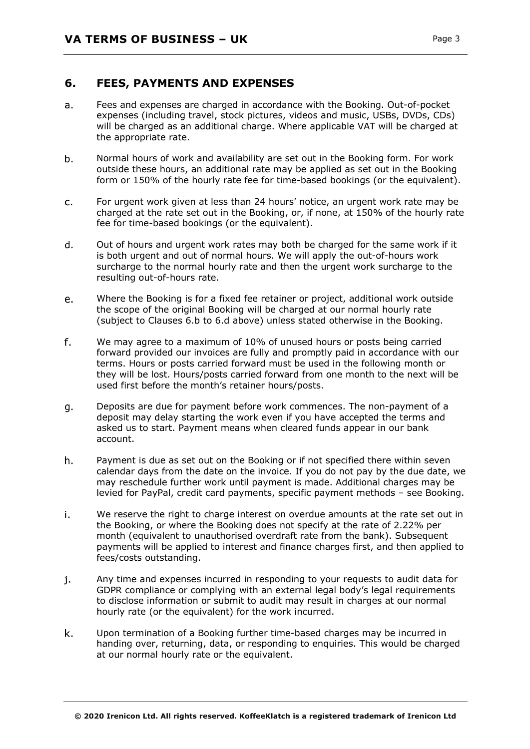### **6. FEES, PAYMENTS AND EXPENSES**

- Fees and expenses are charged in accordance with the Booking. Out-of-pocket  $a<sub>z</sub>$ expenses (including travel, stock pictures, videos and music, USBs, DVDs, CDs) will be charged as an additional charge. Where applicable VAT will be charged at the appropriate rate.
- b. Normal hours of work and availability are set out in the Booking form. For work outside these hours, an additional rate may be applied as set out in the Booking form or 150% of the hourly rate fee for time-based bookings (or the equivalent).
- For urgent work given at less than 24 hours' notice, an urgent work rate may be  $C<sub>1</sub>$ charged at the rate set out in the Booking, or, if none, at 150% of the hourly rate fee for time-based bookings (or the equivalent).
- $\mathsf{d}$ . Out of hours and urgent work rates may both be charged for the same work if it is both urgent and out of normal hours. We will apply the out-of-hours work surcharge to the normal hourly rate and then the urgent work surcharge to the resulting out-of-hours rate.
- Where the Booking is for a fixed fee retainer or project, additional work outside e. the scope of the original Booking will be charged at our normal hourly rate (subject to Clauses 6.b to 6.d above) unless stated otherwise in the Booking.
- f. We may agree to a maximum of 10% of unused hours or posts being carried forward provided our invoices are fully and promptly paid in accordance with our terms. Hours or posts carried forward must be used in the following month or they will be lost. Hours/posts carried forward from one month to the next will be used first before the month's retainer hours/posts.
- Deposits are due for payment before work commences. The non-payment of a g. deposit may delay starting the work even if you have accepted the terms and asked us to start. Payment means when cleared funds appear in our bank account.
- $h<sub>1</sub>$ Payment is due as set out on the Booking or if not specified there within seven calendar days from the date on the invoice. If you do not pay by the due date, we may reschedule further work until payment is made. Additional charges may be levied for PayPal, credit card payments, specific payment methods – see Booking.
- i. We reserve the right to charge interest on overdue amounts at the rate set out in the Booking, or where the Booking does not specify at the rate of 2.22% per month (equivalent to unauthorised overdraft rate from the bank). Subsequent payments will be applied to interest and finance charges first, and then applied to fees/costs outstanding.
- j. Any time and expenses incurred in responding to your requests to audit data for GDPR compliance or complying with an external legal body's legal requirements to disclose information or submit to audit may result in charges at our normal hourly rate (or the equivalent) for the work incurred.
- k. Upon termination of a Booking further time-based charges may be incurred in handing over, returning, data, or responding to enquiries. This would be charged at our normal hourly rate or the equivalent.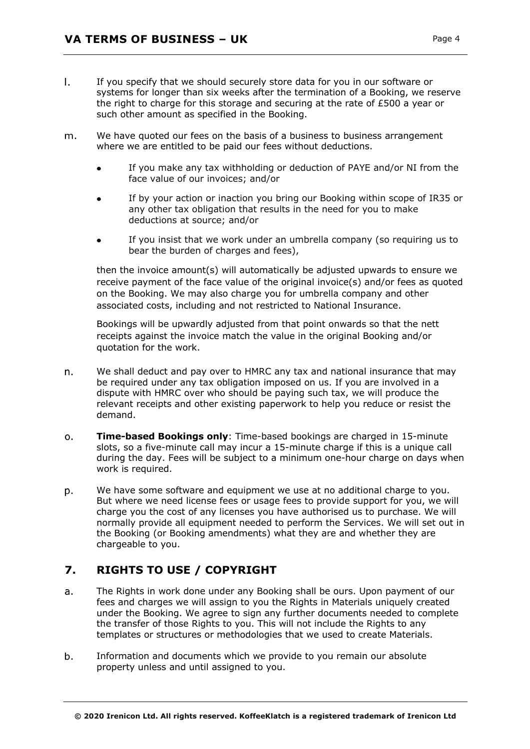- $\mathbf{L}$ If you specify that we should securely store data for you in our software or systems for longer than six weeks after the termination of a Booking, we reserve the right to charge for this storage and securing at the rate of £500 a year or such other amount as specified in the Booking.
- We have quoted our fees on the basis of a business to business arrangement m. where we are entitled to be paid our fees without deductions.
	- If you make any tax withholding or deduction of PAYE and/or NI from the  $\bullet$ face value of our invoices; and/or
	- If by your action or inaction you bring our Booking within scope of IR35 or any other tax obligation that results in the need for you to make deductions at source; and/or
	- If you insist that we work under an umbrella company (so requiring us to bear the burden of charges and fees),

then the invoice amount(s) will automatically be adjusted upwards to ensure we receive payment of the face value of the original invoice(s) and/or fees as quoted on the Booking. We may also charge you for umbrella company and other associated costs, including and not restricted to National Insurance.

Bookings will be upwardly adjusted from that point onwards so that the nett receipts against the invoice match the value in the original Booking and/or quotation for the work.

- We shall deduct and pay over to HMRC any tax and national insurance that may n. be required under any tax obligation imposed on us. If you are involved in a dispute with HMRC over who should be paying such tax, we will produce the relevant receipts and other existing paperwork to help you reduce or resist the demand.
- **Time-based Bookings only**: Time-based bookings are charged in 15-minute  $\Omega$ . slots, so a five-minute call may incur a 15-minute charge if this is a unique call during the day. Fees will be subject to a minimum one-hour charge on days when work is required.
- p. We have some software and equipment we use at no additional charge to you. But where we need license fees or usage fees to provide support for you, we will charge you the cost of any licenses you have authorised us to purchase. We will normally provide all equipment needed to perform the Services. We will set out in the Booking (or Booking amendments) what they are and whether they are chargeable to you.

# **7. RIGHTS TO USE / COPYRIGHT**

- The Rights in work done under any Booking shall be ours. Upon payment of our  $a<sub>z</sub>$ fees and charges we will assign to you the Rights in Materials uniquely created under the Booking. We agree to sign any further documents needed to complete the transfer of those Rights to you. This will not include the Rights to any templates or structures or methodologies that we used to create Materials.
- $b<sub>1</sub>$ Information and documents which we provide to you remain our absolute property unless and until assigned to you.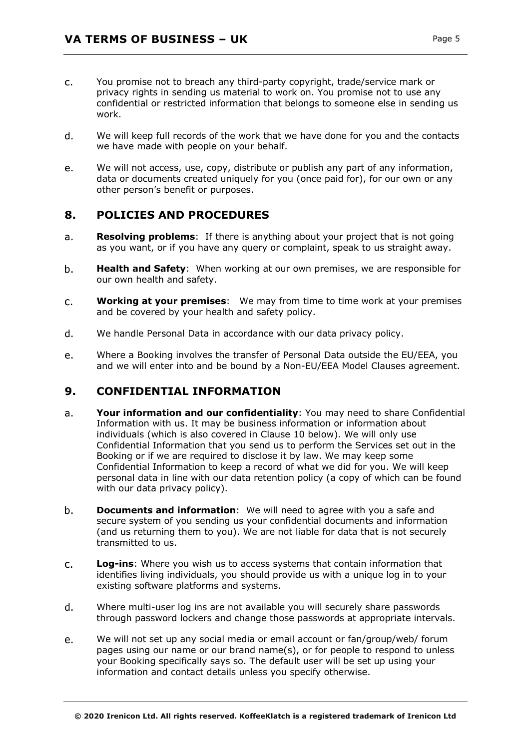- You promise not to breach any third-party copyright, trade/service mark or  $C<sub>1</sub>$ privacy rights in sending us material to work on. You promise not to use any confidential or restricted information that belongs to someone else in sending us work.
- We will keep full records of the work that we have done for you and the contacts d. we have made with people on your behalf.
- e. We will not access, use, copy, distribute or publish any part of any information, data or documents created uniquely for you (once paid for), for our own or any other person's benefit or purposes.

# **8. POLICIES AND PROCEDURES**

- $a.$ **Resolving problems**: If there is anything about your project that is not going as you want, or if you have any query or complaint, speak to us straight away.
- $b<sub>1</sub>$ **Health and Safety**: When working at our own premises, we are responsible for our own health and safety.
- **Working at your premises**: We may from time to time work at your premises  $C<sub>1</sub>$ and be covered by your health and safety policy.
- $\mathsf{d}$ . We handle Personal Data in accordance with our data privacy policy.
- Where a Booking involves the transfer of Personal Data outside the EU/EEA, you e. and we will enter into and be bound by a Non-EU/EEA Model Clauses agreement.

## **9. CONFIDENTIAL INFORMATION**

- **Your information and our confidentiality**: You may need to share Confidential  $a<sub>r</sub>$ Information with us. It may be business information or information about individuals (which is also covered in Clause 10 below). We will only use Confidential Information that you send us to perform the Services set out in the Booking or if we are required to disclose it by law. We may keep some Confidential Information to keep a record of what we did for you. We will keep personal data in line with our data retention policy (a copy of which can be found with our data privacy policy).
- $b<sub>1</sub>$ **Documents and information**: We will need to agree with you a safe and secure system of you sending us your confidential documents and information (and us returning them to you). We are not liable for data that is not securely transmitted to us.
- $c_{\cdot}$ **Log-ins**: Where you wish us to access systems that contain information that identifies living individuals, you should provide us with a unique log in to your existing software platforms and systems.
- d. Where multi-user log ins are not available you will securely share passwords through password lockers and change those passwords at appropriate intervals.
- We will not set up any social media or email account or fan/group/web/ forum  $e<sub>1</sub>$ pages using our name or our brand name(s), or for people to respond to unless your Booking specifically says so. The default user will be set up using your information and contact details unless you specify otherwise.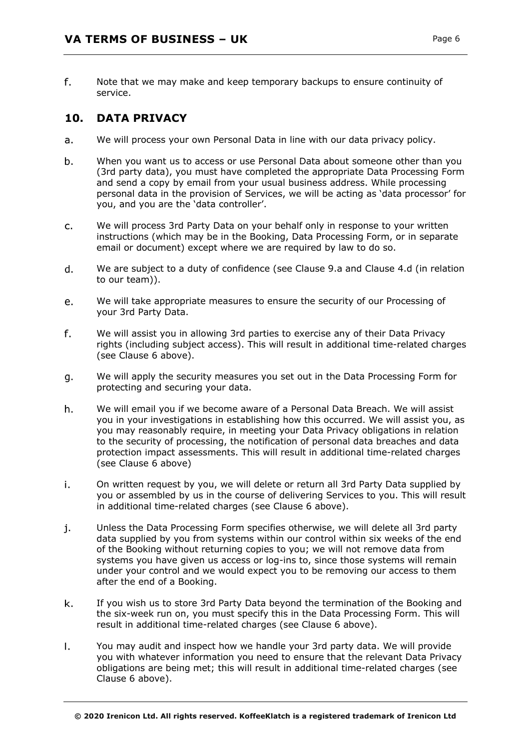f. Note that we may make and keep temporary backups to ensure continuity of service.

## **10. DATA PRIVACY**

- We will process your own Personal Data in line with our data privacy policy. a.
- $b.$ When you want us to access or use Personal Data about someone other than you (3rd party data), you must have completed the appropriate Data Processing Form and send a copy by email from your usual business address. While processing personal data in the provision of Services, we will be acting as 'data processor' for you, and you are the 'data controller'.
- c. We will process 3rd Party Data on your behalf only in response to your written instructions (which may be in the Booking, Data Processing Form, or in separate email or document) except where we are required by law to do so.
- $\mathsf{d}$ . We are subject to a duty of confidence (see Clause 9.a and Clause 4.d (in relation to our team)).
- We will take appropriate measures to ensure the security of our Processing of e. your 3rd Party Data.
- f. We will assist you in allowing 3rd parties to exercise any of their Data Privacy rights (including subject access). This will result in additional time-related charges (see Clause 6 above).
- We will apply the security measures you set out in the Data Processing Form for g. protecting and securing your data.
- h. We will email you if we become aware of a Personal Data Breach. We will assist you in your investigations in establishing how this occurred. We will assist you, as you may reasonably require, in meeting your Data Privacy obligations in relation to the security of processing, the notification of personal data breaches and data protection impact assessments. This will result in additional time-related charges (see Clause 6 above)
- i. On written request by you, we will delete or return all 3rd Party Data supplied by you or assembled by us in the course of delivering Services to you. This will result in additional time-related charges (see Clause 6 above).
- j. Unless the Data Processing Form specifies otherwise, we will delete all 3rd party data supplied by you from systems within our control within six weeks of the end of the Booking without returning copies to you; we will not remove data from systems you have given us access or log-ins to, since those systems will remain under your control and we would expect you to be removing our access to them after the end of a Booking.
- If you wish us to store 3rd Party Data beyond the termination of the Booking and k. the six-week run on, you must specify this in the Data Processing Form. This will result in additional time-related charges (see Clause 6 above).
- $\mathbf{L}$ You may audit and inspect how we handle your 3rd party data. We will provide you with whatever information you need to ensure that the relevant Data Privacy obligations are being met; this will result in additional time-related charges (see Clause 6 above).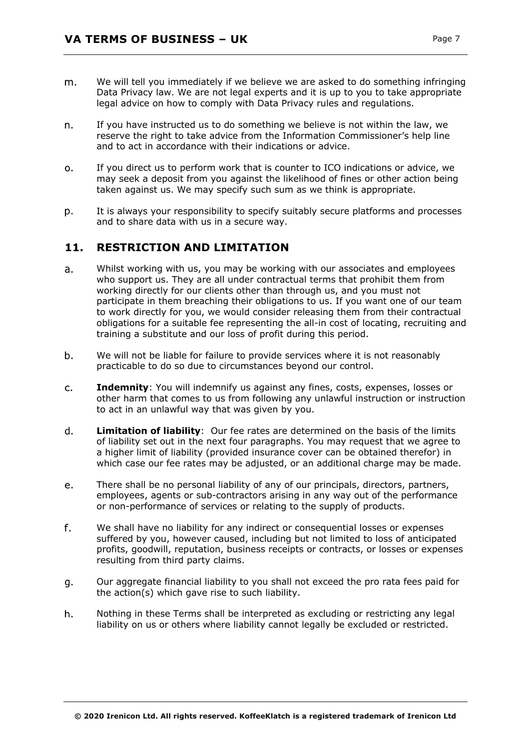- We will tell you immediately if we believe we are asked to do something infringing m. Data Privacy law. We are not legal experts and it is up to you to take appropriate legal advice on how to comply with Data Privacy rules and regulations.
- If you have instructed us to do something we believe is not within the law, we n. reserve the right to take advice from the Information Commissioner's help line and to act in accordance with their indications or advice.
- If you direct us to perform work that is counter to ICO indications or advice, we  $\Omega$ . may seek a deposit from you against the likelihood of fines or other action being taken against us. We may specify such sum as we think is appropriate.
- It is always your responsibility to specify suitably secure platforms and processes D. and to share data with us in a secure way.

## **11. RESTRICTION AND LIMITATION**

- Whilst working with us, you may be working with our associates and employees  $a<sub>r</sub>$ who support us. They are all under contractual terms that prohibit them from working directly for our clients other than through us, and you must not participate in them breaching their obligations to us. If you want one of our team to work directly for you, we would consider releasing them from their contractual obligations for a suitable fee representing the all-in cost of locating, recruiting and training a substitute and our loss of profit during this period.
- $b<sub>1</sub>$ We will not be liable for failure to provide services where it is not reasonably practicable to do so due to circumstances beyond our control.
- $C<sub>1</sub>$ **Indemnity**: You will indemnify us against any fines, costs, expenses, losses or other harm that comes to us from following any unlawful instruction or instruction to act in an unlawful way that was given by you.
- d. **Limitation of liability**: Our fee rates are determined on the basis of the limits of liability set out in the next four paragraphs. You may request that we agree to a higher limit of liability (provided insurance cover can be obtained therefor) in which case our fee rates may be adjusted, or an additional charge may be made.
- There shall be no personal liability of any of our principals, directors, partners, e. employees, agents or sub-contractors arising in any way out of the performance or non-performance of services or relating to the supply of products.
- f. We shall have no liability for any indirect or consequential losses or expenses suffered by you, however caused, including but not limited to loss of anticipated profits, goodwill, reputation, business receipts or contracts, or losses or expenses resulting from third party claims.
- Our aggregate financial liability to you shall not exceed the pro rata fees paid for q. the action(s) which gave rise to such liability.
- h. Nothing in these Terms shall be interpreted as excluding or restricting any legal liability on us or others where liability cannot legally be excluded or restricted.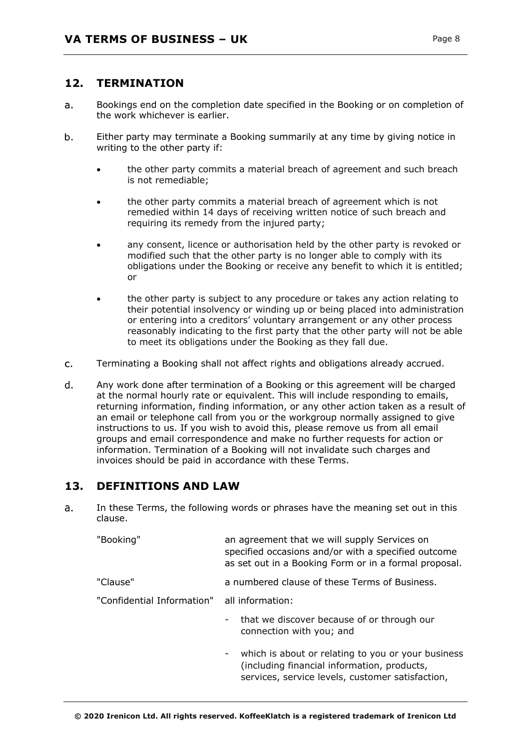### **12. TERMINATION**

- $\overline{a}$ . Bookings end on the completion date specified in the Booking or on completion of the work whichever is earlier.
- $b<sub>1</sub>$ Either party may terminate a Booking summarily at any time by giving notice in writing to the other party if:
	- the other party commits a material breach of agreement and such breach is not remediable;
	- the other party commits a material breach of agreement which is not remedied within 14 days of receiving written notice of such breach and requiring its remedy from the injured party;
	- any consent, licence or authorisation held by the other party is revoked or modified such that the other party is no longer able to comply with its obligations under the Booking or receive any benefit to which it is entitled; or
	- the other party is subject to any procedure or takes any action relating to their potential insolvency or winding up or being placed into administration or entering into a creditors' voluntary arrangement or any other process reasonably indicating to the first party that the other party will not be able to meet its obligations under the Booking as they fall due.
- $C<sub>1</sub>$ Terminating a Booking shall not affect rights and obligations already accrued.
- $\mathsf{d}$ . Any work done after termination of a Booking or this agreement will be charged at the normal hourly rate or equivalent. This will include responding to emails, returning information, finding information, or any other action taken as a result of an email or telephone call from you or the workgroup normally assigned to give instructions to us. If you wish to avoid this, please remove us from all email groups and email correspondence and make no further requests for action or information. Termination of a Booking will not invalidate such charges and invoices should be paid in accordance with these Terms.

### **13. DEFINITIONS AND LAW**

In these Terms, the following words or phrases have the meaning set out in this  $a.$ clause.

| "Booking"                                   | an agreement that we will supply Services on<br>specified occasions and/or with a specified outcome<br>as set out in a Booking Form or in a formal proposal. |
|---------------------------------------------|--------------------------------------------------------------------------------------------------------------------------------------------------------------|
| "Clause"                                    | a numbered clause of these Terms of Business.                                                                                                                |
| "Confidential Information" all information: |                                                                                                                                                              |
|                                             | that we discover because of or through our<br>Ξ.<br>connection with you; and                                                                                 |
|                                             | which is about or relating to you or your business<br>(including financial information, products,<br>services, service levels, customer satisfaction,        |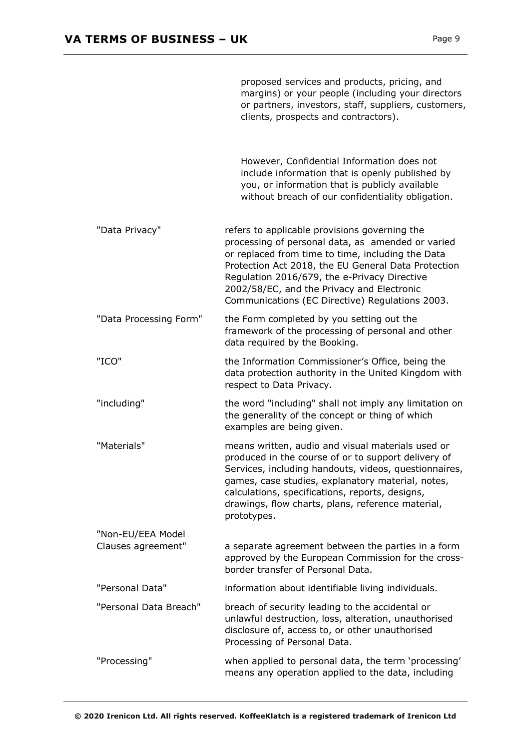|                                         | proposed services and products, pricing, and<br>margins) or your people (including your directors<br>or partners, investors, staff, suppliers, customers,<br>clients, prospects and contractors).                                                                                                                                                               |
|-----------------------------------------|-----------------------------------------------------------------------------------------------------------------------------------------------------------------------------------------------------------------------------------------------------------------------------------------------------------------------------------------------------------------|
|                                         | However, Confidential Information does not<br>include information that is openly published by<br>you, or information that is publicly available<br>without breach of our confidentiality obligation.                                                                                                                                                            |
| "Data Privacy"                          | refers to applicable provisions governing the<br>processing of personal data, as amended or varied<br>or replaced from time to time, including the Data<br>Protection Act 2018, the EU General Data Protection<br>Regulation 2016/679, the e-Privacy Directive<br>2002/58/EC, and the Privacy and Electronic<br>Communications (EC Directive) Regulations 2003. |
| "Data Processing Form"                  | the Form completed by you setting out the<br>framework of the processing of personal and other<br>data required by the Booking.                                                                                                                                                                                                                                 |
| "ICO"                                   | the Information Commissioner's Office, being the<br>data protection authority in the United Kingdom with<br>respect to Data Privacy.                                                                                                                                                                                                                            |
| "including"                             | the word "including" shall not imply any limitation on<br>the generality of the concept or thing of which<br>examples are being given.                                                                                                                                                                                                                          |
| "Materials"                             | means written, audio and visual materials used or<br>produced in the course of or to support delivery of<br>Services, including handouts, videos, questionnaires,<br>games, case studies, explanatory material, notes,<br>calculations, specifications, reports, designs,<br>drawings, flow charts, plans, reference material,<br>prototypes.                   |
| "Non-EU/EEA Model<br>Clauses agreement" | a separate agreement between the parties in a form<br>approved by the European Commission for the cross-<br>border transfer of Personal Data.                                                                                                                                                                                                                   |
| "Personal Data"                         | information about identifiable living individuals.                                                                                                                                                                                                                                                                                                              |
| "Personal Data Breach"                  | breach of security leading to the accidental or<br>unlawful destruction, loss, alteration, unauthorised<br>disclosure of, access to, or other unauthorised<br>Processing of Personal Data.                                                                                                                                                                      |
| "Processing"                            | when applied to personal data, the term 'processing'<br>means any operation applied to the data, including                                                                                                                                                                                                                                                      |